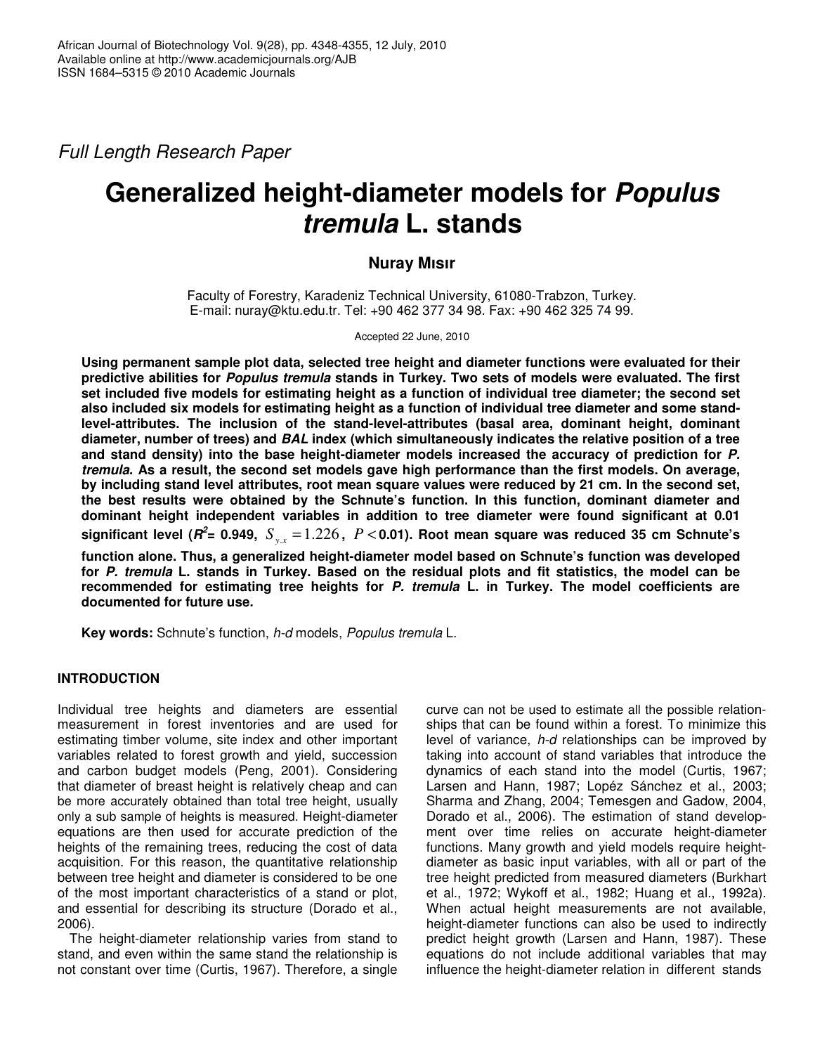*Full Length Research Paper*

# **Generalized height-diameter models for** *Populus tremula* **L. stands**

# **Nuray Mısır**

Faculty of Forestry, Karadeniz Technical University, 61080-Trabzon, Turkey. E-mail: nuray@ktu.edu.tr. Tel: +90 462 377 34 98. Fax: +90 462 325 74 99.

Accepted 22 June, 2010

**Using permanent sample plot data, selected tree height and diameter functions were evaluated for their predictive abilities for** *Populus tremula* **stands in Turkey. Two sets of models were evaluated. The first set included five models for estimating height as a function of individual tree diameter; the second set also included six models for estimating height as a function of individual tree diameter and some standlevel-attributes. The inclusion of the stand-level-attributes (basal area, dominant height, dominant diameter, number of trees) and** *BAL* **index (which simultaneously indicates the relative position of a tree and stand density) into the base height-diameter models increased the accuracy of prediction for** *P. tremula*. As a result, the second set models gave high performance than the first models. On average, by including stand level attributes, root mean square values were reduced by 21 cm. In the second set, **the best results were obtained by the Schnute's function. In this function, dominant diameter and dominant height independent variables in addition to tree diameter were found significant at 0.01** significant level ( $\pmb{\mathit{R}}^2$ = 0.949,  $\ S_{_{y.x}}\!=\!1.226\,,\,\,P\!<\!0.01)$ . Root mean square was reduced 35 cm Schnute's

**function alone. Thus, a generalized height-diameter model based on Schnute's function was developed** for P. tremula L. stands in Turkey. Based on the residual plots and fit statistics, the model can be **recommended for estimating tree heights for** *P. tremula* **L. in Turkey. The model coefficients are documented for future use.**

**Key words:** Schnute's function, *h-d* models, *Populus tremula* L.

# **INTRODUCTION**

Individual tree heights and diameters are essential measurement in forest inventories and are used for estimating timber volume, site index and other important variables related to forest growth and yield, succession and carbon budget models (Peng, 2001). Considering that diameter of breast height is relatively cheap and can be more accurately obtained than total tree height, usually only a sub sample of heights is measured. Height-diameter equations are then used for accurate prediction of the heights of the remaining trees, reducing the cost of data acquisition. For this reason, the quantitative relationship between tree height and diameter is considered to be one of the most important characteristics of a stand or plot, and essential for describing its structure (Dorado et al., 2006).

The height-diameter relationship varies from stand to stand, and even within the same stand the relationship is not constant over time (Curtis, 1967). Therefore, a single

curve can not be used to estimate all the possible relationships that can be found within a forest. To minimize this level of variance, *h-d* relationships can be improved by taking into account of stand variables that introduce the dynamics of each stand into the model (Curtis, 1967; Larsen and Hann, 1987; Lopéz Sánchez et al., 2003; Sharma and Zhang, 2004; Temesgen and Gadow, 2004, Dorado et al., 2006). The estimation of stand development over time relies on accurate height-diameter functions. Many growth and yield models require heightdiameter as basic input variables, with all or part of the tree height predicted from measured diameters (Burkhart et al., 1972; Wykoff et al., 1982; Huang et al., 1992a). When actual height measurements are not available, height-diameter functions can also be used to indirectly predict height growth (Larsen and Hann, 1987). These equations do not include additional variables that may influence the height-diameter relation in different stands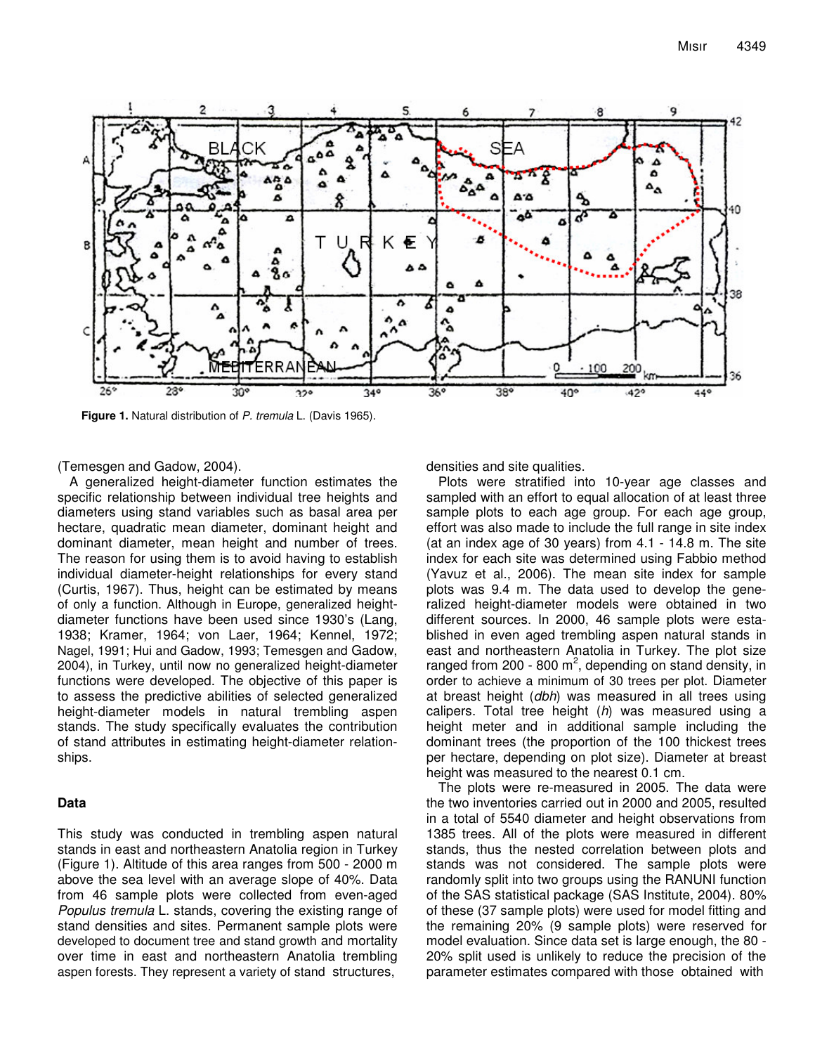

**Figure 1.** Natural distribution of *P. tremula* L. (Davis 1965).

(Temesgen and Gadow, 2004).

A generalized height-diameter function estimates the specific relationship between individual tree heights and diameters using stand variables such as basal area per hectare, quadratic mean diameter, dominant height and dominant diameter, mean height and number of trees. The reason for using them is to avoid having to establish individual diameter-height relationships for every stand (Curtis, 1967). Thus, height can be estimated by means of only a function. Although in Europe, generalized heightdiameter functions have been used since 1930's (Lang, 1938; Kramer, 1964; von Laer, 1964; Kennel, 1972; Nagel, 1991; Hui and Gadow, 1993; Temesgen and Gadow, 2004), in Turkey, until now no generalized height-diameter functions were developed. The objective of this paper is to assess the predictive abilities of selected generalized height-diameter models in natural trembling aspen stands. The study specifically evaluates the contribution of stand attributes in estimating height-diameter relationships.

## **Data**

This study was conducted in trembling aspen natural stands in east and northeastern Anatolia region in Turkey (Figure 1). Altitude of this area ranges from 500 - 2000 m above the sea level with an average slope of 40%. Data from 46 sample plots were collected from even-aged *Populus tremula* L. stands, covering the existing range of stand densities and sites. Permanent sample plots were developed to document tree and stand growth and mortality over time in east and northeastern Anatolia trembling aspen forests. They represent a variety of stand structures,

densities and site qualities.

Plots were stratified into 10-year age classes and sampled with an effort to equal allocation of at least three sample plots to each age group. For each age group, effort was also made to include the full range in site index (at an index age of 30 years) from 4.1 - 14.8 m. The site index for each site was determined using Fabbio method (Yavuz et al., 2006). The mean site index for sample plots was 9.4 m. The data used to develop the generalized height-diameter models were obtained in two different sources. In 2000, 46 sample plots were established in even aged trembling aspen natural stands in east and northeastern Anatolia in Turkey. The plot size ranged from 200 - 800 m<sup>2</sup>, depending on stand density, in order to achieve a minimum of 30 trees per plot. Diameter at breast height (*dbh*) was measured in all trees using calipers. Total tree height (*h*) was measured using a height meter and in additional sample including the dominant trees (the proportion of the 100 thickest trees per hectare, depending on plot size). Diameter at breast height was measured to the nearest 0.1 cm.

The plots were re-measured in 2005. The data were the two inventories carried out in 2000 and 2005, resulted in a total of 5540 diameter and height observations from 1385 trees. All of the plots were measured in different stands, thus the nested correlation between plots and stands was not considered. The sample plots were randomly split into two groups using the RANUNI function of the SAS statistical package (SAS Institute, 2004). 80% of these (37 sample plots) were used for model fitting and the remaining 20% (9 sample plots) were reserved for model evaluation. Since data set is large enough, the 80 - 20% split used is unlikely to reduce the precision of the parameter estimates compared with those obtained with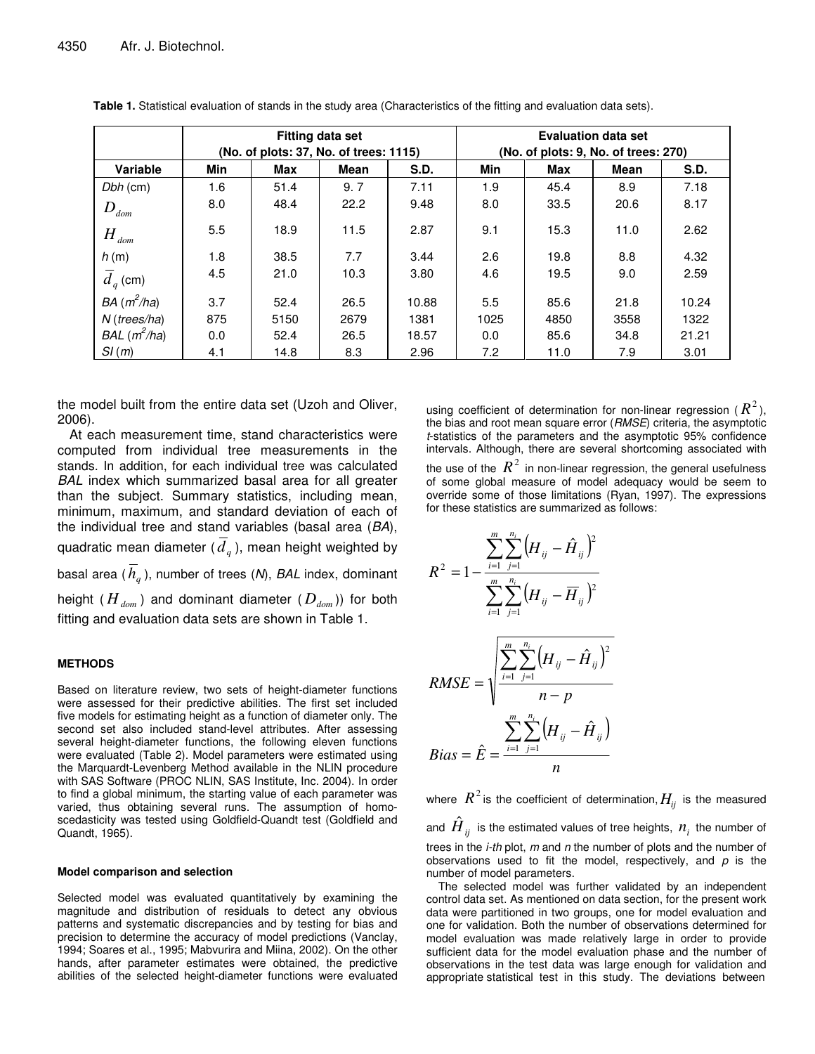|                              | <b>Fitting data set</b><br>(No. of plots: 37, No. of trees: 1115) |      |             | <b>Evaluation data set</b><br>(No. of plots: 9, No. of trees: 270) |      |      |             |       |
|------------------------------|-------------------------------------------------------------------|------|-------------|--------------------------------------------------------------------|------|------|-------------|-------|
| Variable                     | Min                                                               | Max  | <b>Mean</b> | S.D.                                                               | Min  | Max  | <b>Mean</b> | S.D.  |
| $Dbh$ (cm)                   | 1.6                                                               | 51.4 | 9.7         | 7.11                                                               | 1.9  | 45.4 | 8.9         | 7.18  |
| $D_{\scriptscriptstyle dom}$ | 8.0                                                               | 48.4 | 22.2        | 9.48                                                               | 8.0  | 33.5 | 20.6        | 8.17  |
| $H_{dom}$                    | 5.5                                                               | 18.9 | 11.5        | 2.87                                                               | 9.1  | 15.3 | 11.0        | 2.62  |
| h(m)                         | 1.8                                                               | 38.5 | 7.7         | 3.44                                                               | 2.6  | 19.8 | 8.8         | 4.32  |
| $\overline{d}_q$ (cm)        | 4.5                                                               | 21.0 | 10.3        | 3.80                                                               | 4.6  | 19.5 | 9.0         | 2.59  |
| $BA(m^2/ha)$                 | 3.7                                                               | 52.4 | 26.5        | 10.88                                                              | 5.5  | 85.6 | 21.8        | 10.24 |
| $N$ (trees/ha)               | 875                                                               | 5150 | 2679        | 1381                                                               | 1025 | 4850 | 3558        | 1322  |
| $BAL(m^2/ha)$                | 0.0                                                               | 52.4 | 26.5        | 18.57                                                              | 0.0  | 85.6 | 34.8        | 21.21 |
| SI(m)                        | 4.1                                                               | 14.8 | 8.3         | 2.96                                                               | 7.2  | 11.0 | 7.9         | 3.01  |

**Table 1.** Statistical evaluation of stands in the study area (Characteristics of the fitting and evaluation data sets).

the model built from the entire data set (Uzoh and Oliver, 2006).

At each measurement time, stand characteristics were computed from individual tree measurements in the stands. In addition, for each individual tree was calculated *BAL* index which summarized basal area for all greater than the subject. Summary statistics, including mean, minimum, maximum, and standard deviation of each of the individual tree and stand variables (basal area (*BA*), quadratic mean diameter ( $\overline{d}_q$ ), mean height weighted by basal area ( *h<sup>q</sup>* ), number of trees (*N*), *BAL* index, dominant height ( *Hdom* ) and dominant diameter ( *Ddom* )) for both fitting and evaluation data sets are shown in Table 1.

### **METHODS**

Based on literature review, two sets of height-diameter functions were assessed for their predictive abilities. The first set included five models for estimating height as a function of diameter only. The second set also included stand-level attributes. After assessing several height-diameter functions, the following eleven functions were evaluated (Table 2). Model parameters were estimated using the Marquardt-Levenberg Method available in the NLIN procedure with SAS Software (PROC NLIN, SAS Institute, Inc. 2004). In order to find a global minimum, the starting value of each parameter was varied, thus obtaining several runs. The assumption of homoscedasticity was tested using Goldfield-Quandt test (Goldfield and Quandt, 1965).

#### **Model comparison and selection**

Selected model was evaluated quantitatively by examining the magnitude and distribution of residuals to detect any obvious patterns and systematic discrepancies and by testing for bias and precision to determine the accuracy of model predictions (Vanclay, 1994; Soares et al., 1995; Mabvurira and Miina, 2002). On the other hands, after parameter estimates were obtained, the predictive abilities of the selected height-diameter functions were evaluated

using coefficient of determination for non-linear regression ( $R^2$ ), the bias and root mean square error (*RMSE*) criteria, the asymptotic *t*-statistics of the parameters and the asymptotic 95% confidence intervals. Although, there are several shortcoming associated with

the use of the  $\,R^{\,2}\,$  in non-linear regression, the general usefulness of some global measure of model adequacy would be seem to override some of those limitations (Ryan, 1997). The expressions for these statistics are summarized as follows:

$$
R^{2} = 1 - \frac{\sum_{i=1}^{m} \sum_{j=1}^{n_{i}} (H_{ij} - \hat{H}_{ij})^{2}}{\sum_{i=1}^{m} \sum_{j=1}^{n_{i}} (H_{ij} - \overline{H}_{ij})^{2}}
$$
  
\n
$$
RMSE = \sqrt{\frac{\sum_{i=1}^{m} \sum_{j=1}^{n_{i}} (H_{ij} - \hat{H}_{ij})^{2}}{n - p}}
$$
  
\n
$$
Bias = \hat{E} = \frac{\sum_{i=1}^{m} \sum_{j=1}^{n_{i}} (H_{ij} - \hat{H}_{ij})}{n}
$$

where  $R^2$  is the coefficient of determination,  $H_{ij}$  is the measured and  ${\hat{H}}_{ij}$  is the estimated values of tree heights,  ${n^{}_{i}}$  the number of trees in the *i-th* plot, *m* and *n* the number of plots and the number of observations used to fit the model, respectively, and *p* is the number of model parameters.

The selected model was further validated by an independent control data set. As mentioned on data section, for the present work data were partitioned in two groups, one for model evaluation and one for validation. Both the number of observations determined for model evaluation was made relatively large in order to provide sufficient data for the model evaluation phase and the number of observations in the test data was large enough for validation and appropriate statistical test in this study. The deviations between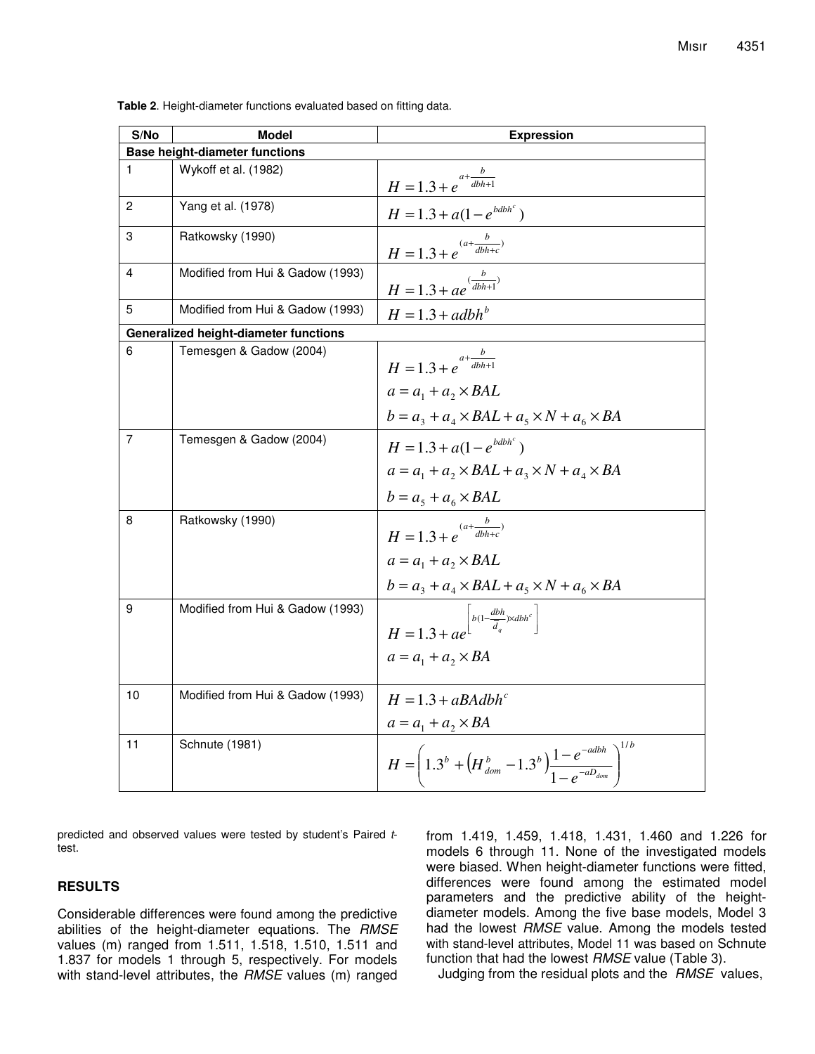| S/No                                  | <b>Model</b>                                 | <b>Expression</b>                                                                                                                |  |  |
|---------------------------------------|----------------------------------------------|----------------------------------------------------------------------------------------------------------------------------------|--|--|
| <b>Base height-diameter functions</b> |                                              |                                                                                                                                  |  |  |
| 1                                     | Wykoff et al. (1982)                         | $H = 1.3 + e^{a + \frac{b}{dbh + 1}}$                                                                                            |  |  |
| 2                                     | Yang et al. (1978)                           | $H = 1.3 + a(1 - e^{bdbh^c})$                                                                                                    |  |  |
| 3                                     | Ratkowsky (1990)                             | $H = 1.3 + e^{(a + \frac{b}{dbh+c})}$                                                                                            |  |  |
| 4                                     | Modified from Hui & Gadow (1993)             | $H = 1.3 + ae^{(\frac{b}{dbh+1})}$                                                                                               |  |  |
| 5                                     | Modified from Hui & Gadow (1993)             | $H = 1.3 + adbhb$                                                                                                                |  |  |
|                                       | <b>Generalized height-diameter functions</b> |                                                                                                                                  |  |  |
| 6                                     | Temesgen & Gadow (2004)                      | $H = 1.3 + e^{a + \frac{b}{dbh + 1}}$<br>$a = a_1 + a_2 \times BAL$                                                              |  |  |
|                                       |                                              | $b = a_3 + a_4 \times BAL + a_5 \times N + a_6 \times BA$                                                                        |  |  |
| 7                                     | Temesgen & Gadow (2004)                      | $H = 1.3 + a(1 - e^{bdbh^c})$<br>$a = a_1 + a_2 \times BAL + a_3 \times N + a_4 \times BA$<br>$b = a_5 + a_6 \times BAL$         |  |  |
| 8                                     | Ratkowsky (1990)                             | $H = 1.3 + e^{(a + \frac{b}{dbh+c})}$<br>$a = a_1 + a_2 \times BAL$<br>$b = a_3 + a_4 \times BAL + a_5 \times N + a_6 \times BA$ |  |  |
| 9                                     | Modified from Hui & Gadow (1993)             | $H=1.3+ae^{\left\lfloor b(1-\frac{dbh}{\overline{d}_q})\times dbh^c\right\rfloor}$<br>$a = a_1 + a_2 \times BA$                  |  |  |
| 10                                    | Modified from Hui & Gadow (1993)             | $H = 1.3 + aBAdbh^c$<br>$a = a_1 + a_2 \times BA$                                                                                |  |  |
| 11                                    | Schnute (1981)                               | $H = \left(1.3^b + \left(H_{dom}^b - 1.3^b\right) \frac{1 - e^{-adbh}}{1 - e^{-aD_{dom}}} \right)^{1/b}$                         |  |  |

**Table 2**. Height-diameter functions evaluated based on fitting data.

predicted and observed values were tested by student's Paired *t*test.

## **RESULTS**

Considerable differences were found among the predictive abilities of the height-diameter equations. The *RMSE* values (m) ranged from 1.511, 1.518, 1.510, 1.511 and 1.837 for models 1 through 5, respectively. For models with stand-level attributes, the *RMSE* values (m) ranged from 1.419, 1.459, 1.418, 1.431, 1.460 and 1.226 for models 6 through 11. None of the investigated models were biased. When height-diameter functions were fitted, differences were found among the estimated model parameters and the predictive ability of the heightdiameter models. Among the five base models, Model 3 had the lowest *RMSE* value. Among the models tested with stand-level attributes, Model 11 was based on Schnute function that had the lowest *RMSE* value (Table 3).

Judging from the residual plots and the *RMSE* values,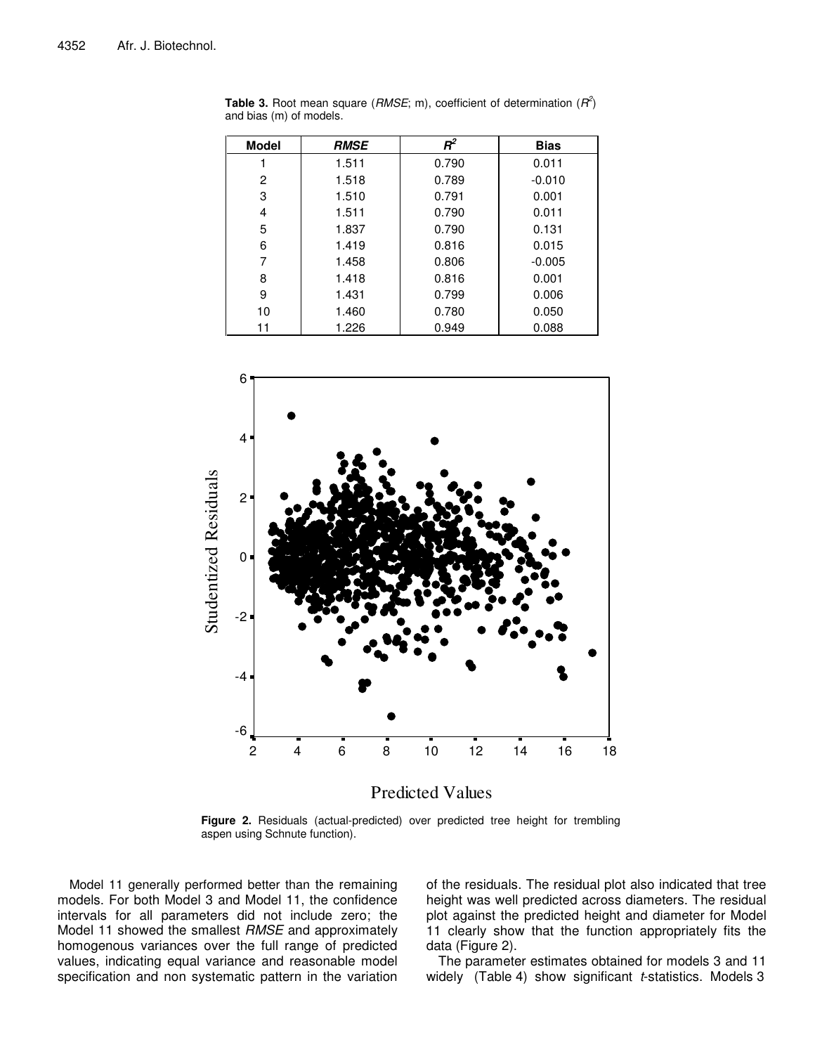| <b>Model</b> | <b>RMSE</b> | $R^2$ | <b>Bias</b> |
|--------------|-------------|-------|-------------|
|              | 1.511       | 0.790 | 0.011       |
| 2            | 1.518       | 0.789 | $-0.010$    |
| 3            | 1.510       | 0.791 | 0.001       |
| 4            | 1.511       | 0.790 | 0.011       |
| 5            | 1.837       | 0.790 | 0.131       |
| 6            | 1.419       | 0.816 | 0.015       |
| 7            | 1.458       | 0.806 | $-0.005$    |
| 8            | 1.418       | 0.816 | 0.001       |
| 9            | 1.431       | 0.799 | 0.006       |
| 10           | 1.460       | 0.780 | 0.050       |
| 11           | 1.226       | 0.949 | 0.088       |

**Table 3.** Root mean square (*RMSE*; m), coefficient of determination (*R 2* ) and bias (m) of models.



Predicted Values

**Figure 2.** Residuals (actual-predicted) over predicted tree height for trembling aspen using Schnute function).

Model 11 generally performed better than the remaining models. For both Model 3 and Model 11, the confidence intervals for all parameters did not include zero; the Model 11 showed the smallest *RMSE* and approximately homogenous variances over the full range of predicted values, indicating equal variance and reasonable model specification and non systematic pattern in the variation of the residuals. The residual plot also indicated that tree height was well predicted across diameters. The residual plot against the predicted height and diameter for Model 11 clearly show that the function appropriately fits the data (Figure 2).

The parameter estimates obtained for models 3 and 11 widely (Table 4) show significant *t*-statistics. Models 3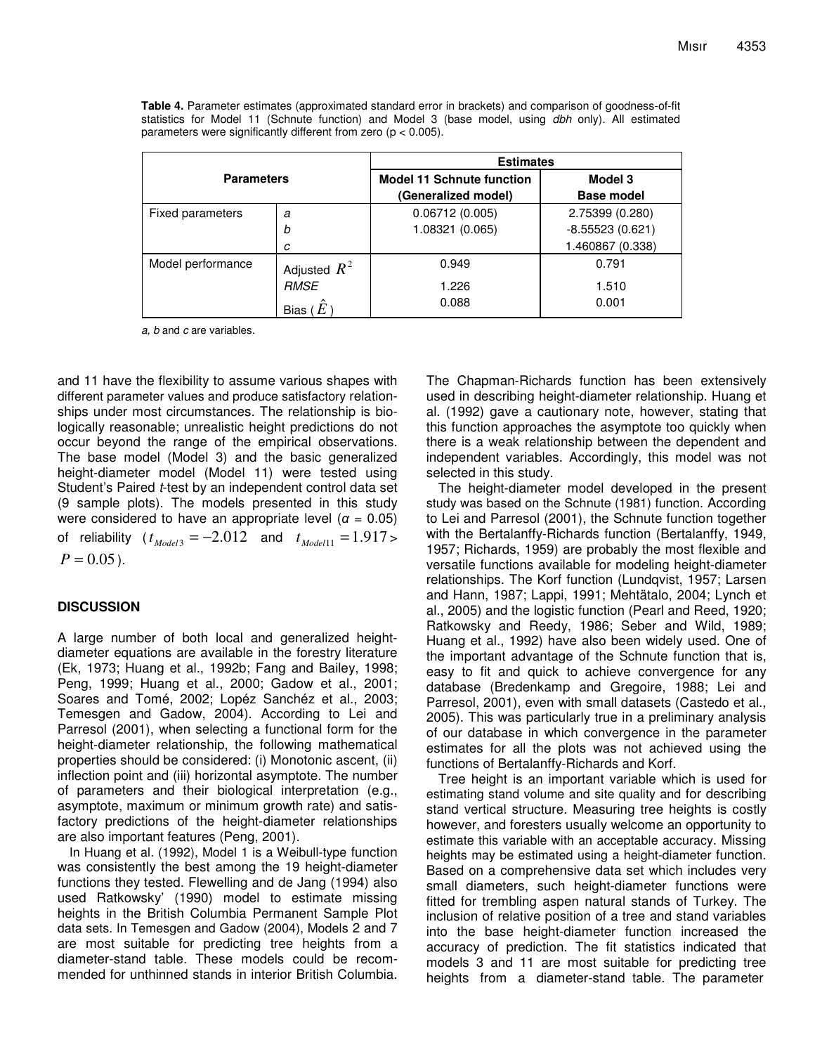|                   |                | <b>Estimates</b>                 |                   |  |  |
|-------------------|----------------|----------------------------------|-------------------|--|--|
| <b>Parameters</b> |                | <b>Model 11 Schnute function</b> | Model 3           |  |  |
|                   |                | (Generalized model)              | <b>Base model</b> |  |  |
| Fixed parameters  | a              | 0.06712(0.005)                   | 2.75399 (0.280)   |  |  |
|                   | b              | 1.08321 (0.065)                  | $-8.55523(0.621)$ |  |  |
|                   | C              |                                  | 1.460867 (0.338)  |  |  |
| Model performance | Adjusted $R^2$ | 0.949                            | 0.791             |  |  |
|                   | <b>RMSE</b>    | 1.226                            | 1.510             |  |  |
|                   | Bias           | 0.088                            | 0.001             |  |  |

**Table 4.** Parameter estimates (approximated standard error in brackets) and comparison of goodness-of-fit statistics for Model 11 (Schnute function) and Model 3 (base model, using *dbh* only). All estimated parameters were significantly different from zero ( $p < 0.005$ ).

*a, b* and *c* are variables.

and 11 have the flexibility to assume various shapes with different parameter values and produce satisfactory relationships under most circumstances. The relationship is biologically reasonable; unrealistic height predictions do not occur beyond the range of the empirical observations. The base model (Model 3) and the basic generalized height-diameter model (Model 11) were tested using Student's Paired *t*-test by an independent control data set (9 sample plots). The models presented in this study were considered to have an appropriate level ( $\alpha = 0.05$ ) of reliability  $(t_{\text{Model3}} = -2.012$  and  $t_{\text{Model11}} = 1.917$  $P = 0.05$ .

## **DISCUSSION**

A large number of both local and generalized heightdiameter equations are available in the forestry literature (Ek, 1973; Huang et al., 1992b; Fang and Bailey, 1998; Peng, 1999; Huang et al., 2000; Gadow et al., 2001; Soares and Tomé, 2002; Lopéz Sanchéz et al., 2003; Temesgen and Gadow, 2004). According to Lei and Parresol (2001), when selecting a functional form for the height-diameter relationship, the following mathematical properties should be considered: (i) Monotonic ascent, (ii) inflection point and (iii) horizontal asymptote. The number of parameters and their biological interpretation (e.g., asymptote, maximum or minimum growth rate) and satisfactory predictions of the height-diameter relationships are also important features (Peng, 2001).

In Huang et al. (1992), Model 1 is a Weibull-type function was consistently the best among the 19 height-diameter functions they tested. Flewelling and de Jang (1994) also used Ratkowsky' (1990) model to estimate missing heights in the British Columbia Permanent Sample Plot data sets. In Temesgen and Gadow (2004), Models 2 and 7 are most suitable for predicting tree heights from a diameter-stand table. These models could be recommended for unthinned stands in interior British Columbia.

The Chapman-Richards function has been extensively used in describing height-diameter relationship. Huang et al. (1992) gave a cautionary note, however, stating that this function approaches the asymptote too quickly when there is a weak relationship between the dependent and independent variables. Accordingly, this model was not selected in this study.

The height-diameter model developed in the present study was based on the Schnute (1981) function. According to Lei and Parresol (2001), the Schnute function together with the Bertalanffy-Richards function (Bertalanffy, 1949, 1957; Richards, 1959) are probably the most flexible and versatile functions available for modeling height-diameter relationships. The Korf function (Lundqvist, 1957; Larsen and Hann, 1987; Lappi, 1991; Mehtätalo, 2004; Lynch et al., 2005) and the logistic function (Pearl and Reed, 1920; Ratkowsky and Reedy, 1986; Seber and Wild, 1989; Huang et al., 1992) have also been widely used. One of the important advantage of the Schnute function that is, easy to fit and quick to achieve convergence for any database (Bredenkamp and Gregoire, 1988; Lei and Parresol, 2001), even with small datasets (Castedo et al., 2005). This was particularly true in a preliminary analysis of our database in which convergence in the parameter estimates for all the plots was not achieved using the functions of Bertalanffy-Richards and Korf.

Tree height is an important variable which is used for estimating stand volume and site quality and for describing stand vertical structure. Measuring tree heights is costly however, and foresters usually welcome an opportunity to estimate this variable with an acceptable accuracy. Missing heights may be estimated using a height-diameter function. Based on a comprehensive data set which includes very small diameters, such height-diameter functions were fitted for trembling aspen natural stands of Turkey. The inclusion of relative position of a tree and stand variables into the base height-diameter function increased the accuracy of prediction. The fit statistics indicated that models 3 and 11 are most suitable for predicting tree heights from a diameter-stand table. The parameter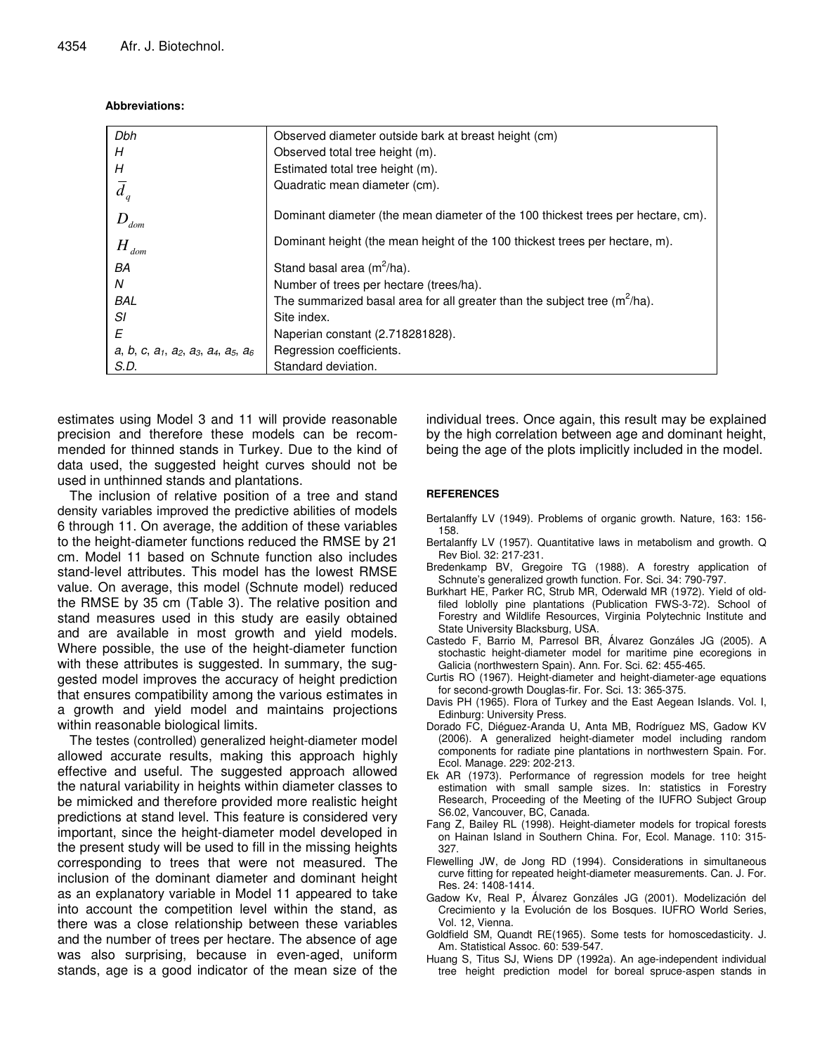## **Abbreviations:**

| Dbh                                                    | Observed diameter outside bark at breast height (cm)                             |
|--------------------------------------------------------|----------------------------------------------------------------------------------|
| Н                                                      | Observed total tree height (m).                                                  |
| Н                                                      | Estimated total tree height (m).                                                 |
| $\overline{d}_q$                                       | Quadratic mean diameter (cm).                                                    |
| $D_{\scriptscriptstyle dom}$                           | Dominant diameter (the mean diameter of the 100 thickest trees per hectare, cm). |
| $H_{\mathit{dom}}$                                     | Dominant height (the mean height of the 100 thickest trees per hectare, m).      |
| BA                                                     | Stand basal area $(m^2/ha)$ .                                                    |
| N                                                      | Number of trees per hectare (trees/ha).                                          |
| <b>BAL</b>                                             | The summarized basal area for all greater than the subject tree $(m^2/ha)$ .     |
| SI                                                     | Site index.                                                                      |
| Ε                                                      | Naperian constant (2.718281828).                                                 |
| a, b, c, $a_1$ , $a_2$ , $a_3$ , $a_4$ , $a_5$ , $a_6$ | Regression coefficients.                                                         |
| S.D.                                                   | Standard deviation.                                                              |
|                                                        |                                                                                  |

estimates using Model 3 and 11 will provide reasonable precision and therefore these models can be recommended for thinned stands in Turkey. Due to the kind of data used, the suggested height curves should not be used in unthinned stands and plantations.

The inclusion of relative position of a tree and stand density variables improved the predictive abilities of models 6 through 11. On average, the addition of these variables to the height-diameter functions reduced the RMSE by 21 cm. Model 11 based on Schnute function also includes stand-level attributes. This model has the lowest RMSE value. On average, this model (Schnute model) reduced the RMSE by 35 cm (Table 3). The relative position and stand measures used in this study are easily obtained and are available in most growth and yield models. Where possible, the use of the height-diameter function with these attributes is suggested. In summary, the suggested model improves the accuracy of height prediction that ensures compatibility among the various estimates in a growth and yield model and maintains projections within reasonable biological limits.

The testes (controlled) generalized height-diameter model allowed accurate results, making this approach highly effective and useful. The suggested approach allowed the natural variability in heights within diameter classes to be mimicked and therefore provided more realistic height predictions at stand level. This feature is considered very important, since the height-diameter model developed in the present study will be used to fill in the missing heights corresponding to trees that were not measured. The inclusion of the dominant diameter and dominant height as an explanatory variable in Model 11 appeared to take into account the competition level within the stand, as there was a close relationship between these variables and the number of trees per hectare. The absence of age was also surprising, because in even-aged, uniform stands, age is a good indicator of the mean size of the

individual trees. Once again, this result may be explained by the high correlation between age and dominant height, being the age of the plots implicitly included in the model.

## **REFERENCES**

Bertalanffy LV (1949). Problems of organic growth. Nature, 163: 156- 158.

- Bertalanffy LV (1957). Quantitative laws in metabolism and growth. Q Rev Biol. 32: 217-231.
- Bredenkamp BV, Gregoire TG (1988). A forestry application of Schnute's generalized growth function. For. Sci. 34: 790-797.
- Burkhart HE, Parker RC, Strub MR, Oderwald MR (1972). Yield of oldfiled loblolly pine plantations (Publication FWS-3-72). School of Forestry and Wildlife Resources, Virginia Polytechnic Institute and State University Blacksburg, USA.
- Castedo F, Barrio M, Parresol BR, Álvarez Gonzáles JG (2005). A stochastic height-diameter model for maritime pine ecoregions in Galicia (northwestern Spain). Ann. For. Sci. 62: 455-465.
- Curtis RO (1967). Height-diameter and height-diameter-age equations for second-growth Douglas-fir. For. Sci. 13: 365-375.
- Davis PH (1965). Flora of Turkey and the East Aegean Islands. Vol. I, Edinburg: University Press.
- Dorado FC, Diéguez-Aranda U, Anta MB, Rodríguez MS, Gadow KV (2006). A generalized height-diameter model including random components for radiate pine plantations in northwestern Spain. For. Ecol. Manage. 229: 202-213.
- Ek AR (1973). Performance of regression models for tree height estimation with small sample sizes. In: statistics in Forestry Research, Proceeding of the Meeting of the IUFRO Subject Group S6.02, Vancouver, BC, Canada.
- Fang Z, Bailey RL (1998). Height-diameter models for tropical forests on Hainan Island in Southern China. For, Ecol. Manage. 110: 315- 327.
- Flewelling JW, de Jong RD (1994). Considerations in simultaneous curve fitting for repeated height-diameter measurements. Can. J. For. Res. 24: 1408-1414.
- Gadow Kv, Real P, Álvarez Gonzáles JG (2001). Modelización del Crecimiento y la Evolución de los Bosques. IUFRO World Series, Vol. 12, Vienna.
- Goldfield SM, Quandt RE(1965). Some tests for homoscedasticity. J. Am. Statistical Assoc. 60: 539-547.
- Huang S, Titus SJ, Wiens DP (1992a). An age-independent individual tree height prediction model for boreal spruce-aspen stands in